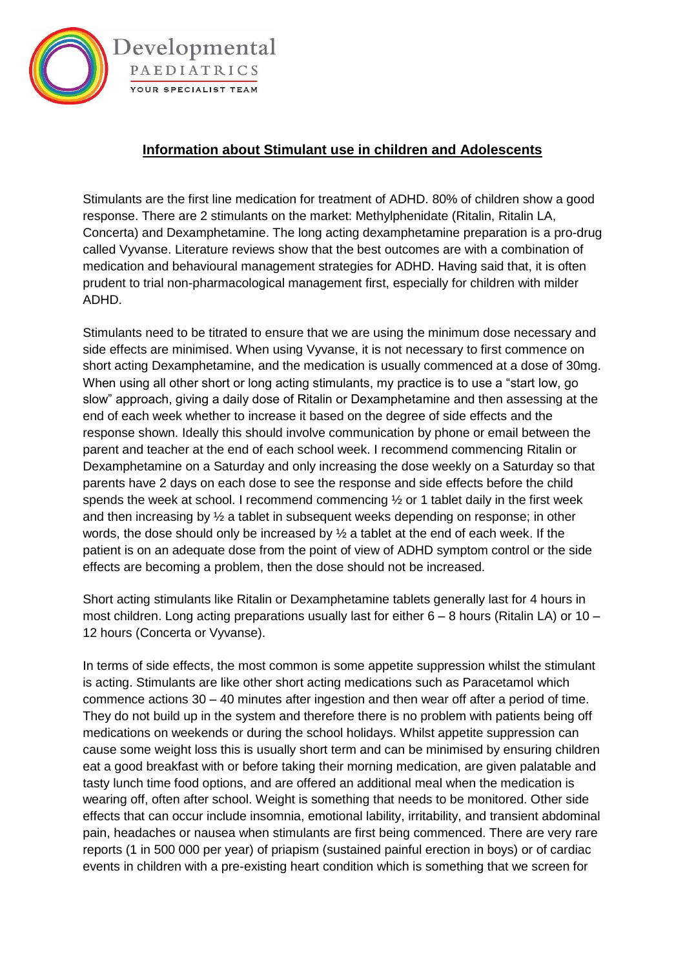

## **Information about Stimulant use in children and Adolescents**

Stimulants are the first line medication for treatment of ADHD. 80% of children show a good response. There are 2 stimulants on the market: Methylphenidate (Ritalin, Ritalin LA, Concerta) and Dexamphetamine. The long acting dexamphetamine preparation is a pro-drug called Vyvanse. Literature reviews show that the best outcomes are with a combination of medication and behavioural management strategies for ADHD. Having said that, it is often prudent to trial non-pharmacological management first, especially for children with milder ADHD.

Stimulants need to be titrated to ensure that we are using the minimum dose necessary and side effects are minimised. When using Vyvanse, it is not necessary to first commence on short acting Dexamphetamine, and the medication is usually commenced at a dose of 30mg. When using all other short or long acting stimulants, my practice is to use a "start low, go slow" approach, giving a daily dose of Ritalin or Dexamphetamine and then assessing at the end of each week whether to increase it based on the degree of side effects and the response shown. Ideally this should involve communication by phone or email between the parent and teacher at the end of each school week. I recommend commencing Ritalin or Dexamphetamine on a Saturday and only increasing the dose weekly on a Saturday so that parents have 2 days on each dose to see the response and side effects before the child spends the week at school. I recommend commencing  $\frac{1}{2}$  or 1 tablet daily in the first week and then increasing by ½ a tablet in subsequent weeks depending on response; in other words, the dose should only be increased by ½ a tablet at the end of each week. If the patient is on an adequate dose from the point of view of ADHD symptom control or the side effects are becoming a problem, then the dose should not be increased.

Short acting stimulants like Ritalin or Dexamphetamine tablets generally last for 4 hours in most children. Long acting preparations usually last for either 6 – 8 hours (Ritalin LA) or 10 – 12 hours (Concerta or Vyvanse).

In terms of side effects, the most common is some appetite suppression whilst the stimulant is acting. Stimulants are like other short acting medications such as Paracetamol which commence actions 30 – 40 minutes after ingestion and then wear off after a period of time. They do not build up in the system and therefore there is no problem with patients being off medications on weekends or during the school holidays. Whilst appetite suppression can cause some weight loss this is usually short term and can be minimised by ensuring children eat a good breakfast with or before taking their morning medication, are given palatable and tasty lunch time food options, and are offered an additional meal when the medication is wearing off, often after school. Weight is something that needs to be monitored. Other side effects that can occur include insomnia, emotional lability, irritability, and transient abdominal pain, headaches or nausea when stimulants are first being commenced. There are very rare reports (1 in 500 000 per year) of priapism (sustained painful erection in boys) or of cardiac events in children with a pre-existing heart condition which is something that we screen for